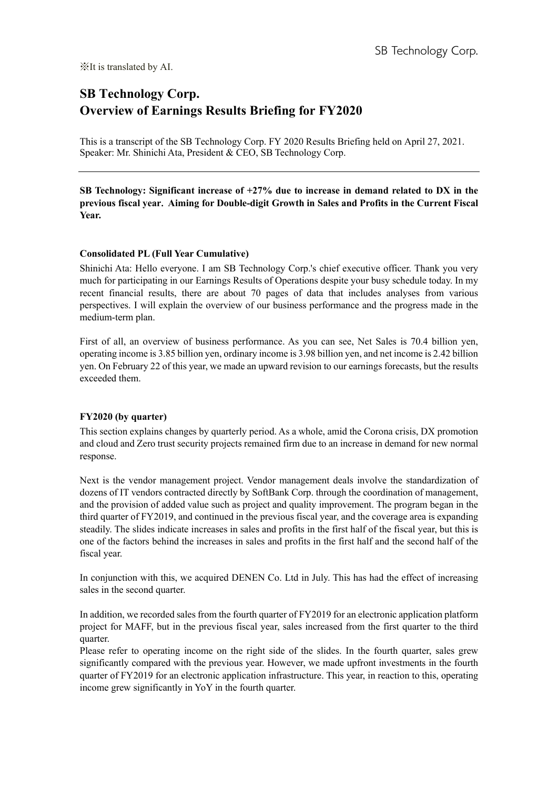# **SB Technology Corp. Overview of Earnings Results Briefing for FY2020**

This is a transcript of the SB Technology Corp. FY 2020 Results Briefing held on April 27, 2021. Speaker: Mr. Shinichi Ata, President & CEO, SB Technology Corp.

**SB Technology: Significant increase of +27% due to increase in demand related to DX in the previous fiscal year**. **Aiming for Double-digit Growth in Sales and Profits in the Current Fiscal Year.**

## **Consolidated PL (Full Year Cumulative)**

Shinichi Ata: Hello everyone. I am SB Technology Corp.'s chief executive officer. Thank you very much for participating in our Earnings Results of Operations despite your busy schedule today. In my recent financial results, there are about 70 pages of data that includes analyses from various perspectives. I will explain the overview of our business performance and the progress made in the medium-term plan.

First of all, an overview of business performance. As you can see, Net Sales is 70.4 billion yen, operating income is 3.85 billion yen, ordinary income is 3.98 billion yen, and net income is 2.42 billion yen. On February 22 of this year, we made an upward revision to our earnings forecasts, but the results exceeded them.

## **FY2020 (by quarter)**

This section explains changes by quarterly period. As a whole, amid the Corona crisis, DX promotion and cloud and Zero trust security projects remained firm due to an increase in demand for new normal response.

Next is the vendor management project. Vendor management deals involve the standardization of dozens of IT vendors contracted directly by SoftBank Corp. through the coordination of management, and the provision of added value such as project and quality improvement. The program began in the third quarter of FY2019, and continued in the previous fiscal year, and the coverage area is expanding steadily. The slides indicate increases in sales and profits in the first half of the fiscal year, but this is one of the factors behind the increases in sales and profits in the first half and the second half of the fiscal year.

In conjunction with this, we acquired DENEN Co. Ltd in July. This has had the effect of increasing sales in the second quarter.

In addition, we recorded sales from the fourth quarter of FY2019 for an electronic application platform project for MAFF, but in the previous fiscal year, sales increased from the first quarter to the third quarter.

Please refer to operating income on the right side of the slides. In the fourth quarter, sales grew significantly compared with the previous year. However, we made upfront investments in the fourth quarter of FY2019 for an electronic application infrastructure. This year, in reaction to this, operating income grew significantly in YoY in the fourth quarter.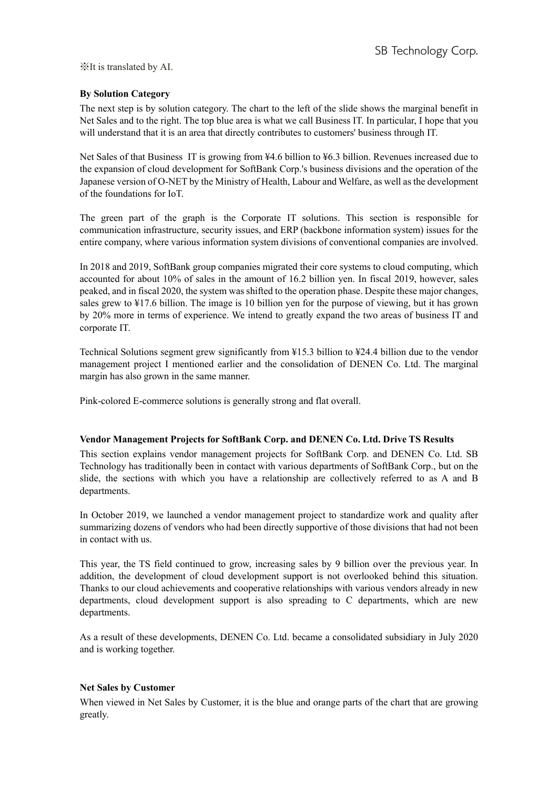# **By Solution Category**

The next step is by solution category. The chart to the left of the slide shows the marginal benefit in Net Sales and to the right. The top blue area is what we call Business IT. In particular, I hope that you will understand that it is an area that directly contributes to customers' business through IT.

Net Sales of that Business IT is growing from ¥4.6 billion to ¥6.3 billion. Revenues increased due to the expansion of cloud development for SoftBank Corp.'s business divisions and the operation of the Japanese version of O-NET by the Ministry of Health, Labour and Welfare, as well as the development of the foundations for IoT.

The green part of the graph is the Corporate IT solutions. This section is responsible for communication infrastructure, security issues, and ERP (backbone information system) issues for the entire company, where various information system divisions of conventional companies are involved.

In 2018 and 2019, SoftBank group companies migrated their core systems to cloud computing, which accounted for about 10% of sales in the amount of 16.2 billion yen. In fiscal 2019, however, sales peaked, and in fiscal 2020, the system was shifted to the operation phase. Despite these major changes, sales grew to ¥17.6 billion. The image is 10 billion yen for the purpose of viewing, but it has grown by 20% more in terms of experience. We intend to greatly expand the two areas of business IT and corporate IT.

Technical Solutions segment grew significantly from ¥15.3 billion to ¥24.4 billion due to the vendor management project I mentioned earlier and the consolidation of DENEN Co. Ltd. The marginal margin has also grown in the same manner.

Pink-colored E-commerce solutions is generally strong and flat overall.

## **Vendor Management Projects for SoftBank Corp. and DENEN Co. Ltd. Drive TS Results**

This section explains vendor management projects for SoftBank Corp. and DENEN Co. Ltd. SB Technology has traditionally been in contact with various departments of SoftBank Corp., but on the slide, the sections with which you have a relationship are collectively referred to as A and B departments.

In October 2019, we launched a vendor management project to standardize work and quality after summarizing dozens of vendors who had been directly supportive of those divisions that had not been in contact with us.

This year, the TS field continued to grow, increasing sales by 9 billion over the previous year. In addition, the development of cloud development support is not overlooked behind this situation. Thanks to our cloud achievements and cooperative relationships with various vendors already in new departments, cloud development support is also spreading to C departments, which are new departments.

As a result of these developments, DENEN Co. Ltd. became a consolidated subsidiary in July 2020 and is working together.

## **Net Sales by Customer**

When viewed in Net Sales by Customer, it is the blue and orange parts of the chart that are growing greatly.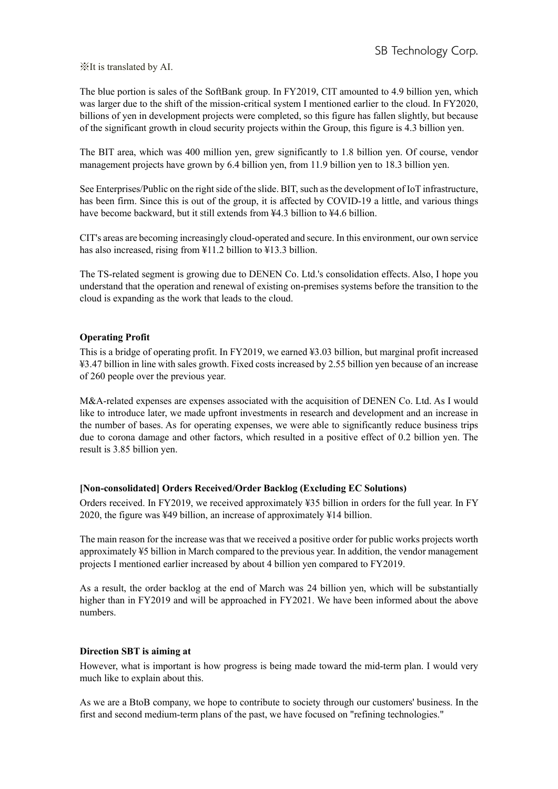The blue portion is sales of the SoftBank group. In FY2019, CIT amounted to 4.9 billion yen, which was larger due to the shift of the mission-critical system I mentioned earlier to the cloud. In FY2020, billions of yen in development projects were completed, so this figure has fallen slightly, but because of the significant growth in cloud security projects within the Group, this figure is 4.3 billion yen.

The BIT area, which was 400 million yen, grew significantly to 1.8 billion yen. Of course, vendor management projects have grown by 6.4 billion yen, from 11.9 billion yen to 18.3 billion yen.

See Enterprises/Public on the right side of the slide. BIT, such as the development of IoT infrastructure, has been firm. Since this is out of the group, it is affected by COVID-19 a little, and various things have become backward, but it still extends from ¥4.3 billion to ¥4.6 billion.

CIT's areas are becoming increasingly cloud-operated and secure. In this environment, our own service has also increased, rising from ¥11.2 billion to ¥13.3 billion.

The TS-related segment is growing due to DENEN Co. Ltd.'s consolidation effects. Also, I hope you understand that the operation and renewal of existing on-premises systems before the transition to the cloud is expanding as the work that leads to the cloud.

#### **Operating Profit**

This is a bridge of operating profit. In FY2019, we earned ¥3.03 billion, but marginal profit increased ¥3.47 billion in line with sales growth. Fixed costs increased by 2.55 billion yen because of an increase of 260 people over the previous year.

M&A-related expenses are expenses associated with the acquisition of DENEN Co. Ltd. As I would like to introduce later, we made upfront investments in research and development and an increase in the number of bases. As for operating expenses, we were able to significantly reduce business trips due to corona damage and other factors, which resulted in a positive effect of 0.2 billion yen. The result is 3.85 billion yen.

#### **[Non-consolidated] Orders Received/Order Backlog (Excluding EC Solutions)**

Orders received. In FY2019, we received approximately ¥35 billion in orders for the full year. In FY 2020, the figure was ¥49 billion, an increase of approximately ¥14 billion.

The main reason for the increase was that we received a positive order for public works projects worth approximately ¥5 billion in March compared to the previous year. In addition, the vendor management projects I mentioned earlier increased by about 4 billion yen compared to FY2019.

As a result, the order backlog at the end of March was 24 billion yen, which will be substantially higher than in FY2019 and will be approached in FY2021. We have been informed about the above numbers.

#### **Direction SBT is aiming at**

However, what is important is how progress is being made toward the mid-term plan. I would very much like to explain about this.

As we are a BtoB company, we hope to contribute to society through our customers' business. In the first and second medium-term plans of the past, we have focused on "refining technologies."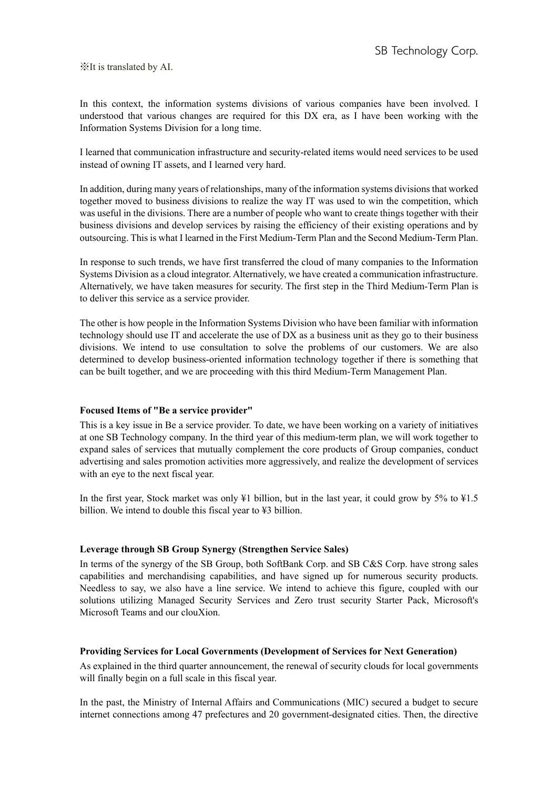In this context, the information systems divisions of various companies have been involved. I understood that various changes are required for this DX era, as I have been working with the Information Systems Division for a long time.

I learned that communication infrastructure and security-related items would need services to be used instead of owning IT assets, and I learned very hard.

In addition, during many years of relationships, many of the information systems divisions that worked together moved to business divisions to realize the way IT was used to win the competition, which was useful in the divisions. There are a number of people who want to create things together with their business divisions and develop services by raising the efficiency of their existing operations and by outsourcing. This is what I learned in the First Medium-Term Plan and the Second Medium-Term Plan.

In response to such trends, we have first transferred the cloud of many companies to the Information Systems Division as a cloud integrator. Alternatively, we have created a communication infrastructure. Alternatively, we have taken measures for security. The first step in the Third Medium-Term Plan is to deliver this service as a service provider.

The other is how people in the Information Systems Division who have been familiar with information technology should use IT and accelerate the use of DX as a business unit as they go to their business divisions. We intend to use consultation to solve the problems of our customers. We are also determined to develop business-oriented information technology together if there is something that can be built together, and we are proceeding with this third Medium-Term Management Plan.

## **Focused Items of "Be a service provider"**

This is a key issue in Be a service provider. To date, we have been working on a variety of initiatives at one SB Technology company. In the third year of this medium-term plan, we will work together to expand sales of services that mutually complement the core products of Group companies, conduct advertising and sales promotion activities more aggressively, and realize the development of services with an eye to the next fiscal year.

In the first year, Stock market was only ¥1 billion, but in the last year, it could grow by 5% to ¥1.5 billion. We intend to double this fiscal year to ¥3 billion.

## **Leverage through SB Group Synergy (Strengthen Service Sales)**

In terms of the synergy of the SB Group, both SoftBank Corp. and SB C&S Corp. have strong sales capabilities and merchandising capabilities, and have signed up for numerous security products. Needless to say, we also have a line service. We intend to achieve this figure, coupled with our solutions utilizing Managed Security Services and Zero trust security Starter Pack, Microsoft's Microsoft Teams and our clouXion.

## **Providing Services for Local Governments (Development of Services for Next Generation)**

As explained in the third quarter announcement, the renewal of security clouds for local governments will finally begin on a full scale in this fiscal year.

In the past, the Ministry of Internal Affairs and Communications (MIC) secured a budget to secure internet connections among 47 prefectures and 20 government-designated cities. Then, the directive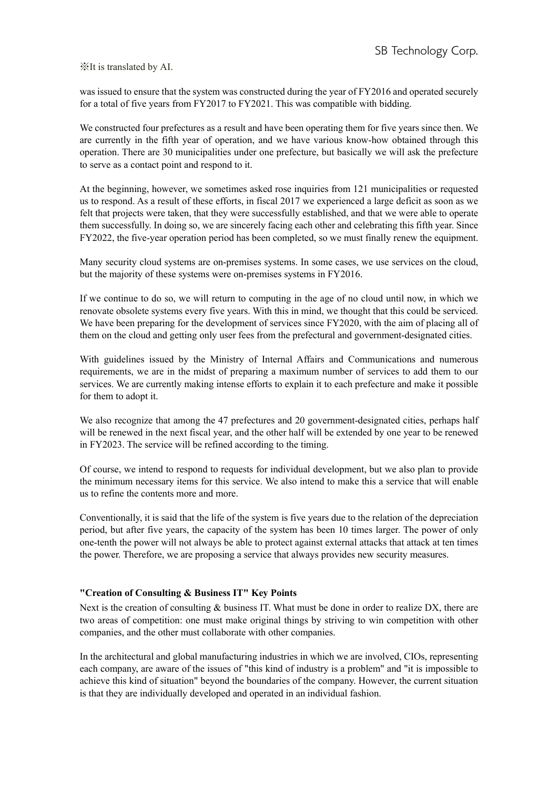was issued to ensure that the system was constructed during the year of FY2016 and operated securely for a total of five years from FY2017 to FY2021. This was compatible with bidding.

We constructed four prefectures as a result and have been operating them for five years since then. We are currently in the fifth year of operation, and we have various know-how obtained through this operation. There are 30 municipalities under one prefecture, but basically we will ask the prefecture to serve as a contact point and respond to it.

At the beginning, however, we sometimes asked rose inquiries from 121 municipalities or requested us to respond. As a result of these efforts, in fiscal 2017 we experienced a large deficit as soon as we felt that projects were taken, that they were successfully established, and that we were able to operate them successfully. In doing so, we are sincerely facing each other and celebrating this fifth year. Since FY2022, the five-year operation period has been completed, so we must finally renew the equipment.

Many security cloud systems are on-premises systems. In some cases, we use services on the cloud, but the majority of these systems were on-premises systems in FY2016.

If we continue to do so, we will return to computing in the age of no cloud until now, in which we renovate obsolete systems every five years. With this in mind, we thought that this could be serviced. We have been preparing for the development of services since FY2020, with the aim of placing all of them on the cloud and getting only user fees from the prefectural and government-designated cities.

With guidelines issued by the Ministry of Internal Affairs and Communications and numerous requirements, we are in the midst of preparing a maximum number of services to add them to our services. We are currently making intense efforts to explain it to each prefecture and make it possible for them to adopt it.

We also recognize that among the 47 prefectures and 20 government-designated cities, perhaps half will be renewed in the next fiscal year, and the other half will be extended by one year to be renewed in FY2023. The service will be refined according to the timing.

Of course, we intend to respond to requests for individual development, but we also plan to provide the minimum necessary items for this service. We also intend to make this a service that will enable us to refine the contents more and more.

Conventionally, it is said that the life of the system is five years due to the relation of the depreciation period, but after five years, the capacity of the system has been 10 times larger. The power of only one-tenth the power will not always be able to protect against external attacks that attack at ten times the power. Therefore, we are proposing a service that always provides new security measures.

# **"Creation of Consulting & Business IT" Key Points**

Next is the creation of consulting & business IT. What must be done in order to realize DX, there are two areas of competition: one must make original things by striving to win competition with other companies, and the other must collaborate with other companies.

In the architectural and global manufacturing industries in which we are involved, CIOs, representing each company, are aware of the issues of "this kind of industry is a problem" and "it is impossible to achieve this kind of situation" beyond the boundaries of the company. However, the current situation is that they are individually developed and operated in an individual fashion.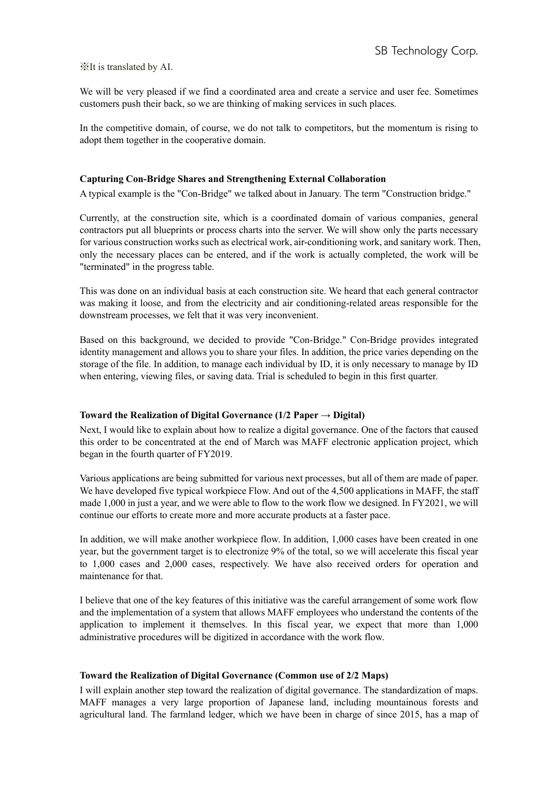We will be very pleased if we find a coordinated area and create a service and user fee. Sometimes customers push their back, so we are thinking of making services in such places.

In the competitive domain, of course, we do not talk to competitors, but the momentum is rising to adopt them together in the cooperative domain.

#### **Capturing Con-Bridge Shares and Strengthening External Collaboration**

A typical example is the "Con-Bridge" we talked about in January. The term "Construction bridge."

Currently, at the construction site, which is a coordinated domain of various companies, general contractors put all blueprints or process charts into the server. We will show only the parts necessary for various construction works such as electrical work, air-conditioning work, and sanitary work. Then, only the necessary places can be entered, and if the work is actually completed, the work will be "terminated" in the progress table.

This was done on an individual basis at each construction site. We heard that each general contractor was making it loose, and from the electricity and air conditioning-related areas responsible for the downstream processes, we felt that it was very inconvenient.

Based on this background, we decided to provide "Con-Bridge." Con-Bridge provides integrated identity management and allows you to share your files. In addition, the price varies depending on the storage of the file. In addition, to manage each individual by ID, it is only necessary to manage by ID when entering, viewing files, or saving data. Trial is scheduled to begin in this first quarter.

## **Toward the Realization of Digital Governance (1/2 Paper → Digital)**

Next, I would like to explain about how to realize a digital governance. One of the factors that caused this order to be concentrated at the end of March was MAFF electronic application project, which began in the fourth quarter of FY2019.

Various applications are being submitted for various next processes, but all of them are made of paper. We have developed five typical workpiece Flow. And out of the 4,500 applications in MAFF, the staff made 1,000 in just a year, and we were able to flow to the work flow we designed. In FY2021, we will continue our efforts to create more and more accurate products at a faster pace.

In addition, we will make another workpiece flow. In addition, 1,000 cases have been created in one year, but the government target is to electronize 9% of the total, so we will accelerate this fiscal year to 1,000 cases and 2,000 cases, respectively. We have also received orders for operation and maintenance for that.

I believe that one of the key features of this initiative was the careful arrangement of some work flow and the implementation of a system that allows MAFF employees who understand the contents of the application to implement it themselves. In this fiscal year, we expect that more than 1,000 administrative procedures will be digitized in accordance with the work flow.

#### **Toward the Realization of Digital Governance (Common use of 2/2 Maps)**

I will explain another step toward the realization of digital governance. The standardization of maps. MAFF manages a very large proportion of Japanese land, including mountainous forests and agricultural land. The farmland ledger, which we have been in charge of since 2015, has a map of